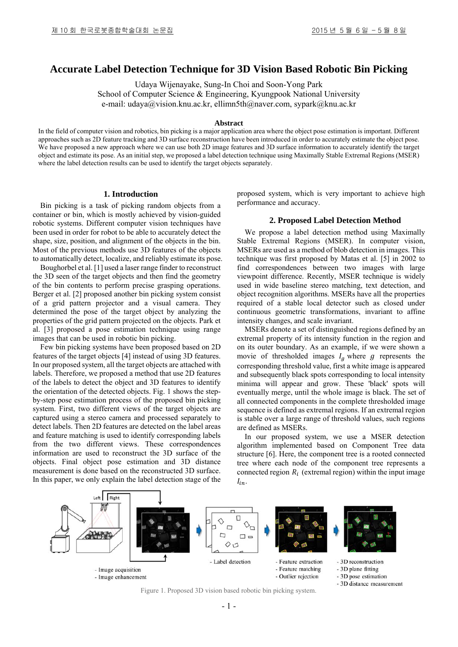# **Accurate Label Detection Technique for 3D Vision Based Robotic Bin Picking**

Udaya Wijenayake, Sung-In Choi and Soon-Yong Park School of Computer Science & Engineering, Kyungpook National University e-mail: udaya@vision.knu.ac.kr, ellimn5th@naver.com, sypark@knu.ac.kr

## **Abstract**

In the field of computer vision and robotics, bin picking is a major application area where the object pose estimation is important. Different approaches such as 2D feature tracking and 3D surface reconstruction have been introduced in order to accurately estimate the object pose. We have proposed a new approach where we can use both 2D image features and 3D surface information to accurately identify the target object and estimate its pose. As an initial step, we proposed a label detection technique using Maximally Stable Extremal Regions (MSER) where the label detection results can be used to identify the target objects separately.

## **1. Introduction**

Bin picking is a task of picking random objects from a container or bin, which is mostly achieved by vision-guided robotic systems. Different computer vision techniques have been used in order for robot to be able to accurately detect the shape, size, position, and alignment of the objects in the bin. Most of the previous methods use 3D features of the objects to automatically detect, localize, and reliably estimate its pose.

Boughorbel et al. [1] used a laser range finder to reconstruct the 3D seen of the target objects and then find the geometry of the bin contents to perform precise grasping operations. Berger et al. [2] proposed another bin picking system consist of a grid pattern projector and a visual camera. They determined the pose of the target object by analyzing the properties of the grid pattern projected on the objects. Park et al. [3] proposed a pose estimation technique using range images that can be used in robotic bin picking.

Few bin picking systems have been proposed based on 2D features of the target objects [4] instead of using 3D features. In our proposed system, all the target objects are attached with labels. Therefore, we proposed a method that use 2D features of the labels to detect the object and 3D features to identify the orientation of the detected objects. Fig. 1 shows the stepby-step pose estimation process of the proposed bin picking system. First, two different views of the target objects are captured using a stereo camera and processed separately to detect labels. Then 2D features are detected on the label areas and feature matching is used to identify corresponding labels from the two different views. These correspondences information are used to reconstruct the 3D surface of the objects. Final object pose estimation and 3D distance measurement is done based on the reconstructed 3D surface. In this paper, we only explain the label detection stage of the proposed system, which is very important to achieve high performance and accuracy.

#### **2. Proposed Label Detection Method**

We propose a label detection method using Maximally Stable Extremal Regions (MSER). In computer vision, MSERs are used as a method of blob detection in images. This technique was first proposed by Matas et al. [5] in 2002 to find correspondences between two images with large viewpoint difference. Recently, MSER technique is widely used in wide baseline stereo matching, text detection, and object recognition algorithms. MSERs have all the properties required of a stable local detector such as closed under continuous geometric transformations, invariant to affine intensity changes, and scale invariant.

MSERs denote a set of distinguished regions defined by an extremal property of its intensity function in the region and on its outer boundary. As an example, if we were shown a movie of thresholded images  $I_g$  where  $g$  represents the corresponding threshold value, first a white image is appeared and subsequently black spots corresponding to local intensity minima will appear and grow. These 'black' spots will eventually merge, until the whole image is black. The set of all connected components in the complete thresholded image sequence is defined as extremal regions. If an extremal region is stable over a large range of threshold values, such regions are defined as MSERs.

In our proposed system, we use a MSER detection algorithm implemented based on Component Tree data structure [6]. Here, the component tree is a rooted connected tree where each node of the component tree represents a connected region  $R_i$  (extremal region) within the input image  $I_{in}.$ 



Figure 1. Proposed 3D vision based robotic bin picking system.